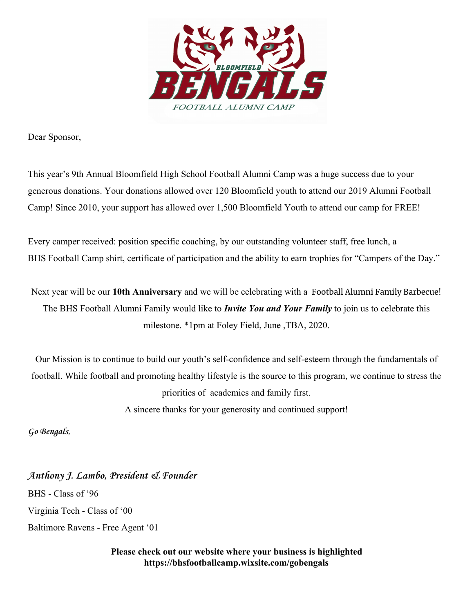

Dear Sponsor,

This year's 9th Annual Bloomfield High School Football Alumni Camp was a huge success due to your generous donations. Your donations allowed over 120 Bloomfield youth to attend our 2019 Alumni Football Camp! Since 2010, your support has allowed over 1,500 Bloomfield Youth to attend our camp for FREE!

Every camper received: position specific coaching, by our outstanding volunteer staff, free lunch, a BHS Football Camp shirt, certificate of participation and the ability to earn trophies for "Campers of the Day."

Next year will be our **10th Anniversary** and we will be celebrating with a Football Alumni Family Barbecue! The BHS Football Alumni Family would like to *Invite You and Your Family* to join us to celebrate this milestone. \*1pm at Foley Field, June ,TBA, 2020.

Our Mission is to continue to build our youth's self-confidence and self-esteem through the fundamentals of football. While football and promoting healthy lifestyle is the source to this program, we continue to stress the priorities of academics and family first. A sincere thanks for your generosity and continued support!

**Go Bengals,**

**Anthony J. Lambo, President & Founder** BHS - Class of '96 Virginia Tech - Class of '00 Baltimore Ravens - Free Agent '01

> **Please check out our website where your business is highlighted https://bhsfootballcamp.wixsite.com/gobengals**